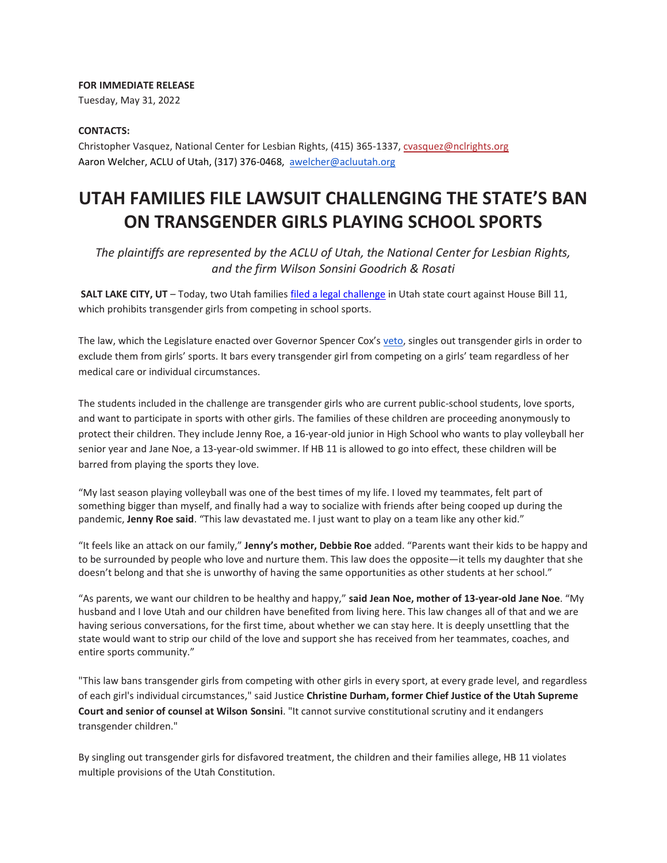## **FOR IMMEDIATE RELEASE**

Tuesday, May 31, 2022

## **CONTACTS:**

Christopher Vasquez, National Center for Lesbian Rights, (415) 365-1337, cvasquez@nclrights.org Aaron Welcher, ACLU of Utah, (317) 376-0468, [awelcher@acluutah.org](mailto:awelcher@acluutah.org)

## **UTAH FAMILIES FILE LAWSUIT CHALLENGING THE STATE'S BAN ON TRANSGENDER GIRLS PLAYING SCHOOL SPORTS**

*The plaintiffs are represented by the ACLU of Utah, the National Center for Lesbian Rights, and the firm Wilson Sonsini Goodrich & Rosati*

**SALT LAKE CITY, UT** – Today, two Utah familie[s filed a legal challenge](https://www.nclrights.org/wp-content/uploads/2022/05/document-1.pdf) in Utah state court against House Bill 11, which prohibits transgender girls from competing in school sports.

The law, which the Legislature enacted over Governor Spencer Cox's [veto,](https://drive.google.com/file/d/1emUTfFEbmNmSdW9UhhsRAseVNr4cPIv9/view) singles out transgender girls in order to exclude them from girls' sports. It bars every transgender girl from competing on a girls' team regardless of her medical care or individual circumstances.

The students included in the challenge are transgender girls who are current public-school students, love sports, and want to participate in sports with other girls. The families of these children are proceeding anonymously to protect their children. They include Jenny Roe, a 16-year-old junior in High School who wants to play volleyball her senior year and Jane Noe, a 13-year-old swimmer. If HB 11 is allowed to go into effect, these children will be barred from playing the sports they love.

"My last season playing volleyball was one of the best times of my life. I loved my teammates, felt part of something bigger than myself, and finally had a way to socialize with friends after being cooped up during the pandemic, **Jenny Roe said**. "This law devastated me. I just want to play on a team like any other kid."

"It feels like an attack on our family," **Jenny's mother, Debbie Roe** added. "Parents want their kids to be happy and to be surrounded by people who love and nurture them. This law does the opposite—it tells my daughter that she doesn't belong and that she is unworthy of having the same opportunities as other students at her school."

"As parents, we want our children to be healthy and happy," **said Jean Noe, mother of 13-year-old Jane Noe**. "My husband and I love Utah and our children have benefited from living here. This law changes all of that and we are having serious conversations, for the first time, about whether we can stay here. It is deeply unsettling that the state would want to strip our child of the love and support she has received from her teammates, coaches, and entire sports community."

"This law bans transgender girls from competing with other girls in every sport, at every grade level, and regardless of each girl's individual circumstances," said Justice **Christine Durham, former Chief Justice of the Utah Supreme Court and senior of counsel at Wilson Sonsini**. "It cannot survive constitutional scrutiny and it endangers transgender children."

By singling out transgender girls for disfavored treatment, the children and their families allege, HB 11 violates multiple provisions of the Utah Constitution.